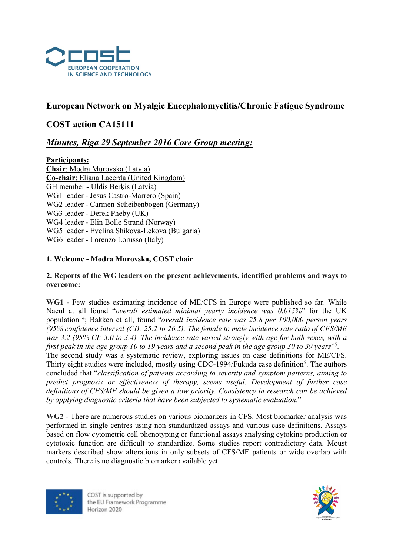

# European Network on Myalgic Encephalomyelitis/Chronic Fatigue Syndrome

# COST action CA15111

# Minutes, Riga 29 September 2016 Core Group meeting:

## Participants:

Chair: Modra Murovska (Latvia) Co-chair: Eliana Lacerda (United Kingdom) GH member - Uldis Berķis (Latvia) WG1 leader - Jesus Castro-Marrero (Spain) WG2 leader - Carmen Scheibenbogen (Germany) WG3 leader - Derek Pheby (UK) WG4 leader - Elin Bolle Strand (Norway) WG5 leader - Evelina Shikova-Lekova (Bulgaria) WG6 leader - Lorenzo Lorusso (Italy)

# 1. Welcome - Modra Murovska, COST chair

## 2. Reports of the WG leaders on the present achievements, identified problems and ways to overcome:

WG1 - Few studies estimating incidence of ME/CFS in Europe were published so far. While Nacul at all found "overall estimated minimal yearly incidence was 0.015%" for the UK population <sup>4</sup>; Bakken et all, found "overall incidence rate was 25.8 per 100,000 person years (95% confidence interval (CI): 25.2 to 26.5). The female to male incidence rate ratio of CFS/ME was 3.2 (95% CI: 3.0 to 3.4). The incidence rate varied strongly with age for both sexes, with a first peak in the age group 10 to 19 years and a second peak in the age group 30 to 39 years"<sup>5</sup>. The second study was a systematic review, exploring issues on case definitions for ME/CFS. Thirty eight studies were included, mostly using CDC-1994/Fukuda case definition<sup>6</sup>. The authors concluded that "classification of patients according to severity and symptom patterns, aiming to predict prognosis or effectiveness of therapy, seems useful. Development of further case definitions of CFS/ME should be given a low priority. Consistency in research can be achieved by applying diagnostic criteria that have been subjected to systematic evaluation."

WG2 - There are numerous studies on various biomarkers in CFS. Most biomarker analysis was performed in single centres using non standardized assays and various case definitions. Assays based on flow cytometric cell phenotyping or functional assays analysing cytokine production or cytotoxic function are difficult to standardize. Some studies report contradictory data. Moust markers described show alterations in only subsets of CFS/ME patients or wide overlap with controls. There is no diagnostic biomarker available yet.



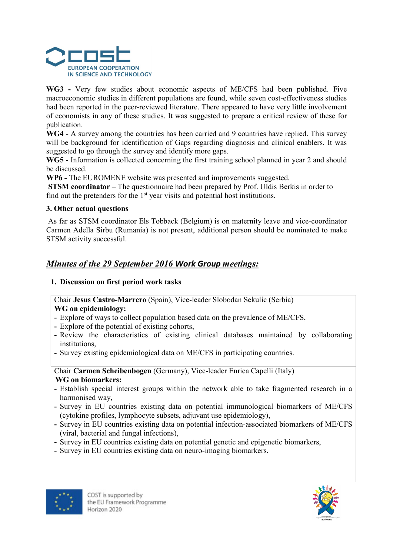

WG3 - Very few studies about economic aspects of ME/CFS had been published. Five macroeconomic studies in different populations are found, while seven cost-effectiveness studies had been reported in the peer-reviewed literature. There appeared to have very little involvement of economists in any of these studies. It was suggested to prepare a critical review of these for publication.

WG4 - A survey among the countries has been carried and 9 countries have replied. This survey will be background for identification of Gaps regarding diagnosis and clinical enablers. It was suggested to go through the survey and identify more gaps.

WG5 - Information is collected concerning the first training school planned in year 2 and should be discussed.

WP6 - The EUROMENE website was presented and improvements suggested.

 STSM coordinator – The questionnaire had been prepared by Prof. Uldis Berkis in order to find out the pretenders for the  $1<sup>st</sup>$  year visits and potential host institutions.

## 3. Other actual questions

As far as STSM coordinator Els Tobback (Belgium) is on maternity leave and vice-coordinator Carmen Adella Sirbu (Rumania) is not present, additional person should be nominated to make STSM activity successful.

# Minutes of the 29 September 2016 Work Group meetings:

# 1. Discussion on first period work tasks

Chair Jesus Castro-Marrero (Spain), Vice-leader Slobodan Sekulic (Serbia)

# WG on epidemiology:

- Explore of ways to collect population based data on the prevalence of ME/CFS,
- Explore of the potential of existing cohorts,
- Review the characteristics of existing clinical databases maintained by collaborating institutions,
- Survey existing epidemiological data on ME/CFS in participating countries.

Chair Carmen Scheibenbogen (Germany), Vice-leader Enrica Capelli (Italy) WG on biomarkers:

- Establish special interest groups within the network able to take fragmented research in a harmonised way,
- Survey in EU countries existing data on potential immunological biomarkers of ME/CFS (cytokine profiles, lymphocyte subsets, adjuvant use epidemiology),
- Survey in EU countries existing data on potential infection-associated biomarkers of ME/CFS (viral, bacterial and fungal infections),
- Survey in EU countries existing data on potential genetic and epigenetic biomarkers,
- Survey in EU countries existing data on neuro-imaging biomarkers.



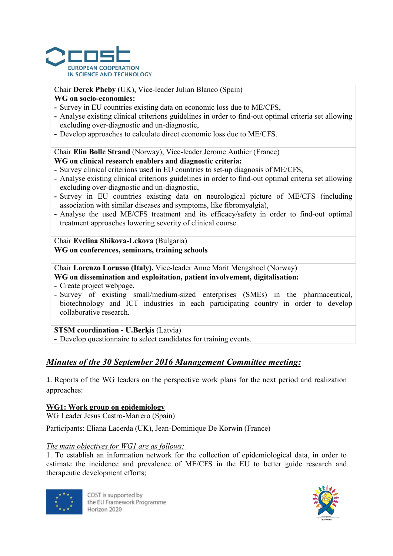

## Chair Derek Pheby (UK), Vice-leader Julian Blanco (Spain)

## WG on socio-economics:

- Survey in EU countries existing data on economic loss due to ME/CFS,
- Analyse existing clinical criterions guidelines in order to find-out optimal criteria set allowing excluding over-diagnostic and un-diagnostic,
- Develop approaches to calculate direct economic loss due to ME/CFS.

Chair Elin Bolle Strand (Norway), Vice-leader Jerome Authier (France)

## WG on clinical research enablers and diagnostic criteria:

- Survey clinical criterions used in EU countries to set-up diagnosis of ME/CFS,
- Analyse existing clinical criterions guidelines in order to find-out optimal criteria set allowing excluding over-diagnostic and un-diagnostic,
- Survey in EU countries existing data on neurological picture of ME/CFS (including association with similar diseases and symptoms, like fibromyalgia),
- Analyse the used ME/CFS treatment and its efficacy/safety in order to find-out optimal treatment approaches lowering severity of clinical course.

Chair Evelina Shikova-Lekova (Bulgaria) WG on conferences, seminars, training schools

Chair Lorenzo Lorusso (Italy), Vice-leader Anne Marit Mengshoel (Norway)

## WG on dissemination and exploitation, patient involvement, digitalisation:

- Create project webpage,
- Survey of existing small/medium-sized enterprises (SMEs) in the pharmaceutical, biotechnology and ICT industries in each participating country in order to develop collaborative research.

#### STSM coordination - U.Berkis (Latvia)

- Develop questionnaire to select candidates for training events.

# Minutes of the 30 September 2016 Management Committee meeting:

1. Reports of the WG leaders on the perspective work plans for the next period and realization approaches:

# WG1: Work group on epidemiology

WG Leader Jesus Castro-Marrero (Spain)

Participants: Eliana Lacerda (UK), Jean-Dominique De Korwin (France)

#### The main objectives for WG1 are as follows:

1. To establish an information network for the collection of epidemiological data, in order to estimate the incidence and prevalence of ME/CFS in the EU to better guide research and therapeutic development efforts;



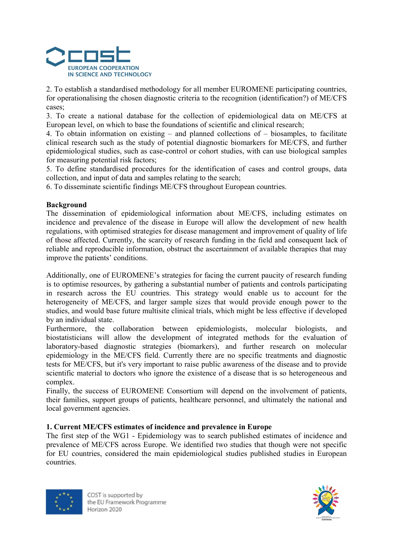

2. To establish a standardised methodology for all member EUROMENE participating countries, for operationalising the chosen diagnostic criteria to the recognition (identification?) of ME/CFS cases;

3. To create a national database for the collection of epidemiological data on ME/CFS at European level, on which to base the foundations of scientific and clinical research;

4. To obtain information on existing – and planned collections of – biosamples, to facilitate clinical research such as the study of potential diagnostic biomarkers for ME/CFS, and further epidemiological studies, such as case-control or cohort studies, with can use biological samples for measuring potential risk factors;

5. To define standardised procedures for the identification of cases and control groups, data collection, and input of data and samples relating to the search;

6. To disseminate scientific findings ME/CFS throughout European countries.

## Background

The dissemination of epidemiological information about ME/CFS, including estimates on incidence and prevalence of the disease in Europe will allow the development of new health regulations, with optimised strategies for disease management and improvement of quality of life of those affected. Currently, the scarcity of research funding in the field and consequent lack of reliable and reproducible information, obstruct the ascertainment of available therapies that may improve the patients' conditions.

Additionally, one of EUROMENE's strategies for facing the current paucity of research funding is to optimise resources, by gathering a substantial number of patients and controls participating in research across the EU countries. This strategy would enable us to account for the heterogeneity of ME/CFS, and larger sample sizes that would provide enough power to the studies, and would base future multisite clinical trials, which might be less effective if developed by an individual state.

Furthermore, the collaboration between epidemiologists, molecular biologists, and biostatisticians will allow the development of integrated methods for the evaluation of laboratory-based diagnostic strategies (biomarkers), and further research on molecular epidemiology in the ME/CFS field. Currently there are no specific treatments and diagnostic tests for ME/CFS, but it's very important to raise public awareness of the disease and to provide scientific material to doctors who ignore the existence of a disease that is so heterogeneous and complex.

Finally, the success of EUROMENE Consortium will depend on the involvement of patients, their families, support groups of patients, healthcare personnel, and ultimately the national and local government agencies.

#### 1. Current ME/CFS estimates of incidence and prevalence in Europe

The first step of the WG1 - Epidemiology was to search published estimates of incidence and prevalence of ME/CFS across Europe. We identified two studies that though were not specific for EU countries, considered the main epidemiological studies published studies in European countries.



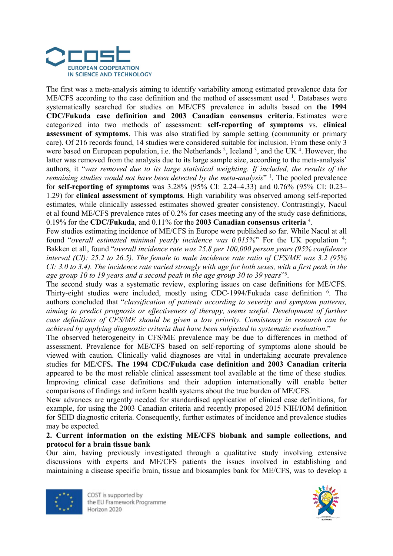

The first was a meta-analysis aiming to identify variability among estimated prevalence data for ME/CFS according to the case definition and the method of assessment used <sup>1</sup>. Databases were systematically searched for studies on ME/CFS prevalence in adults based on the 1994 CDC/Fukuda case definition and 2003 Canadian consensus criteria. Estimates were categorized into two methods of assessment: self-reporting of symptoms vs. clinical assessment of symptoms. This was also stratified by sample setting (community or primary care). Of 216 records found, 14 studies were considered suitable for inclusion. From these only 3 were based on European population, i.e. the Netherlands<sup>2</sup>, Iceland<sup>3</sup>, and the UK<sup>4</sup>. However, the latter was removed from the analysis due to its large sample size, according to the meta-analysis' authors, it "was removed due to its large statistical weighting. If included, the results of the remaining studies would not have been detected by the meta-analysis"  $\frac{1}{1}$ . The pooled prevalence for self-reporting of symptoms was 3.28% (95% CI: 2.24–4.33) and 0.76% (95% CI: 0.23– 1.29) for clinical assessment of symptoms. High variability was observed among self-reported estimates, while clinically assessed estimates showed greater consistency. Contrastingly, Nacul et al found ME/CFS prevalence rates of 0.2% for cases meeting any of the study case definitions, 0.19% for the CDC/Fukuda, and 0.11% for the 2003 Canadian consensus criteria  $4$ .

Few studies estimating incidence of ME/CFS in Europe were published so far. While Nacul at all found "overall estimated minimal yearly incidence was 0.015%" For the UK population  $4$ ; Bakken et all, found "overall incidence rate was 25.8 per 100,000 person years (95% confidence interval (CI): 25.2 to 26.5). The female to male incidence rate ratio of CFS/ME was 3.2 (95%) CI: 3.0 to 3.4). The incidence rate varied strongly with age for both sexes, with a first peak in the age group 10 to 19 years and a second peak in the age group 30 to 39 years"<sup>5</sup>.

The second study was a systematic review, exploring issues on case definitions for ME/CFS. Thirty-eight studies were included, mostly using CDC-1994/Fukuda case definition <sup>6</sup>. The authors concluded that "classification of patients according to severity and symptom patterns, aiming to predict prognosis or effectiveness of therapy, seems useful. Development of further case definitions of CFS/ME should be given a low priority. Consistency in research can be achieved by applying diagnostic criteria that have been subjected to systematic evaluation."

The observed heterogeneity in CFS/ME prevalence may be due to differences in method of assessment. Prevalence for ME/CFS based on self-reporting of symptoms alone should be viewed with caution. Clinically valid diagnoses are vital in undertaking accurate prevalence studies for ME/CFS. The 1994 CDC/Fukuda case definition and 2003 Canadian criteria appeared to be the most reliable clinical assessment tool available at the time of these studies. Improving clinical case definitions and their adoption internationally will enable better comparisons of findings and inform health systems about the true burden of ME/CFS.

New advances are urgently needed for standardised application of clinical case definitions, for example, for using the 2003 Canadian criteria and recently proposed 2015 NIH/IOM definition for SEID diagnostic criteria. Consequently, further estimates of incidence and prevalence studies may be expected.

## 2. Current information on the existing ME/CFS biobank and sample collections, and protocol for a brain tissue bank

Our aim, having previously investigated through a qualitative study involving extensive discussions with experts and ME/CFS patients the issues involved in establishing and maintaining a disease specific brain, tissue and biosamples bank for ME/CFS, was to develop a



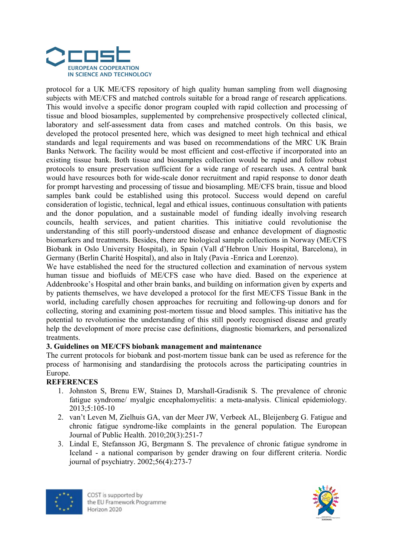

protocol for a UK ME/CFS repository of high quality human sampling from well diagnosing subjects with ME/CFS and matched controls suitable for a broad range of research applications. This would involve a specific donor program coupled with rapid collection and processing of tissue and blood biosamples, supplemented by comprehensive prospectively collected clinical, laboratory and self-assessment data from cases and matched controls. On this basis, we developed the protocol presented here, which was designed to meet high technical and ethical standards and legal requirements and was based on recommendations of the MRC UK Brain Banks Network. The facility would be most efficient and cost-effective if incorporated into an existing tissue bank. Both tissue and biosamples collection would be rapid and follow robust protocols to ensure preservation sufficient for a wide range of research uses. A central bank would have resources both for wide-scale donor recruitment and rapid response to donor death for prompt harvesting and processing of tissue and biosampling. ME/CFS brain, tissue and blood samples bank could be established using this protocol. Success would depend on careful consideration of logistic, technical, legal and ethical issues, continuous consultation with patients and the donor population, and a sustainable model of funding ideally involving research councils, health services, and patient charities. This initiative could revolutionise the understanding of this still poorly-understood disease and enhance development of diagnostic biomarkers and treatments. Besides, there are biological sample collections in Norway (ME/CFS Biobank in Oslo University Hospital), in Spain (Vall d'Hebron Univ Hospital, Barcelona), in Germany (Berlin Charité Hospital), and also in Italy (Pavia -Enrica and Lorenzo).

We have established the need for the structured collection and examination of nervous system human tissue and biofluids of ME/CFS case who have died. Based on the experience at Addenbrooke's Hospital and other brain banks, and building on information given by experts and by patients themselves, we have developed a protocol for the first ME/CFS Tissue Bank in the world, including carefully chosen approaches for recruiting and following-up donors and for collecting, storing and examining post-mortem tissue and blood samples. This initiative has the potential to revolutionise the understanding of this still poorly recognised disease and greatly help the development of more precise case definitions, diagnostic biomarkers, and personalized treatments.

#### 3. Guidelines on ME/CFS biobank management and maintenance

The current protocols for biobank and post-mortem tissue bank can be used as reference for the process of harmonising and standardising the protocols across the participating countries in Europe.

# **REFERENCES**

- 1. Johnston S, Brenu EW, Staines D, Marshall-Gradisnik S. The prevalence of chronic fatigue syndrome/ myalgic encephalomyelitis: a meta-analysis. Clinical epidemiology. 2013;5:105-10
- 2. van't Leven M, Zielhuis GA, van der Meer JW, Verbeek AL, Bleijenberg G. Fatigue and chronic fatigue syndrome-like complaints in the general population. The European Journal of Public Health. 2010;20(3):251-7
- 3. Lindal E, Stefansson JG, Bergmann S. The prevalence of chronic fatigue syndrome in Iceland - a national comparison by gender drawing on four different criteria. Nordic journal of psychiatry. 2002;56(4):273-7



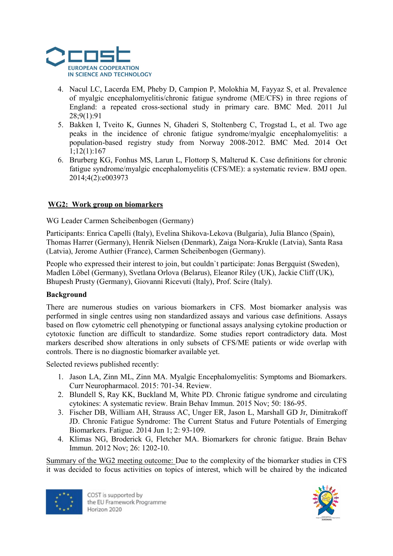

- 4. Nacul LC, Lacerda EM, Pheby D, Campion P, Molokhia M, Fayyaz S, et al. Prevalence of myalgic encephalomyelitis/chronic fatigue syndrome (ME/CFS) in three regions of England: a repeated cross-sectional study in primary care. BMC Med. 2011 Jul 28;9(1):91
- 5. Bakken I, Tveito K, Gunnes N, Ghaderi S, Stoltenberg C, Trogstad L, et al. Two age peaks in the incidence of chronic fatigue syndrome/myalgic encephalomyelitis: a population-based registry study from Norway 2008-2012. BMC Med. 2014 Oct 1;12(1):167
- 6. Brurberg KG, Fonhus MS, Larun L, Flottorp S, Malterud K. Case definitions for chronic fatigue syndrome/myalgic encephalomyelitis (CFS/ME): a systematic review. BMJ open. 2014;4(2):e003973

# WG2: Work group on biomarkers

WG Leader Carmen Scheibenbogen (Germany)

Participants: Enrica Capelli (Italy), Evelina Shikova-Lekova (Bulgaria), Julia Blanco (Spain), Thomas Harrer (Germany), Henrik Nielsen (Denmark), Zaiga Nora-Krukle (Latvia), Santa Rasa (Latvia), Jerome Authier (France), Carmen Scheibenbogen (Germany).

People who expressed their interest to join, but couldn`t participate: Jonas Bergquist (Sweden), Madlen Löbel (Germany), Svetlana Orlova (Belarus), Eleanor Riley (UK), Jackie Cliff (UK), Bhupesh Prusty (Germany), Giovanni Ricevuti (Italy), Prof. Scire (Italy).

# Background

There are numerous studies on various biomarkers in CFS. Most biomarker analysis was performed in single centres using non standardized assays and various case definitions. Assays based on flow cytometric cell phenotyping or functional assays analysing cytokine production or cytotoxic function are difficult to standardize. Some studies report contradictory data. Most markers described show alterations in only subsets of CFS/ME patients or wide overlap with controls. There is no diagnostic biomarker available yet.

Selected reviews published recently:

- 1. Jason LA, Zinn ML, Zinn MA. Myalgic Encephalomyelitis: Symptoms and Biomarkers. Curr Neuropharmacol. 2015: 701-34. Review.
- 2. Blundell S, Ray KK, Buckland M, White PD. Chronic fatigue syndrome and circulating cytokines: A systematic review. Brain Behav Immun. 2015 Nov; 50: 186-95.
- 3. Fischer DB, William AH, Strauss AC, Unger ER, Jason L, Marshall GD Jr, Dimitrakoff JD. Chronic Fatigue Syndrome: The Current Status and Future Potentials of Emerging Biomarkers. Fatigue. 2014 Jun 1; 2: 93-109.
- 4. Klimas NG, Broderick G, Fletcher MA. Biomarkers for chronic fatigue. Brain Behav Immun. 2012 Nov; 26: 1202-10.

Summary of the WG2 meeting outcome: Due to the complexity of the biomarker studies in CFS it was decided to focus activities on topics of interest, which will be chaired by the indicated



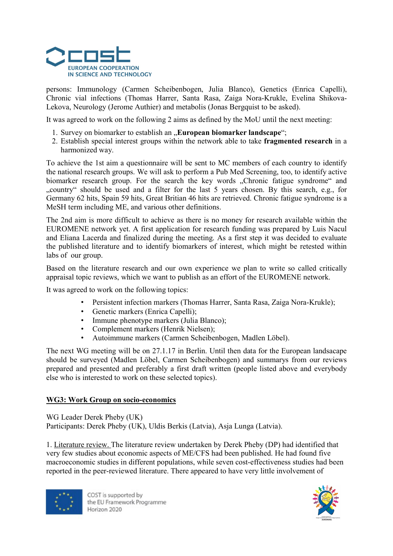

persons: Immunology (Carmen Scheibenbogen, Julia Blanco), Genetics (Enrica Capelli), Chronic vial infections (Thomas Harrer, Santa Rasa, Zaiga Nora-Krukle, Evelina Shikova-Lekova, Neurology (Jerome Authier) and metabolis (Jonas Bergquist to be asked).

It was agreed to work on the following 2 aims as defined by the MoU until the next meeting:

- 1. Survey on biomarker to establish an "European biomarker landscape";
- 2. Establish special interest groups within the network able to take fragmented research in a harmonized way.

To achieve the 1st aim a questionnaire will be sent to MC members of each country to identify the national research groups. We will ask to perform a Pub Med Screening, too, to identify active biomarker research group. For the search the key words "Chronic fatigue syndrome" and "country" should be used and a filter for the last 5 years chosen. By this search, e.g., for Germany 62 hits, Spain 59 hits, Great Britian 46 hits are retrieved. Chronic fatigue syndrome is a MeSH term including ME, and various other definitions.

The 2nd aim is more difficult to achieve as there is no money for research available within the EUROMENE network yet. A first application for research funding was prepared by Luis Nacul and Eliana Lacerda and finalized during the meeting. As a first step it was decided to evaluate the published literature and to identify biomarkers of interest, which might be retested within labs of our group.

Based on the literature research and our own experience we plan to write so called critically appraisal topic reviews, which we want to publish as an effort of the EUROMENE network.

It was agreed to work on the following topics:

- Persistent infection markers (Thomas Harrer, Santa Rasa, Zaiga Nora-Krukle);
- Genetic markers (Enrica Capelli);
- Immune phenotype markers (Julia Blanco);
- Complement markers (Henrik Nielsen);
- Autoimmune markers (Carmen Scheibenbogen, Madlen Löbel).

The next WG meeting will be on 27.1.17 in Berlin. Until then data for the European landsacape should be surveyed (Madlen Löbel, Carmen Scheibenbogen) and summarys from our reviews prepared and presented and preferably a first draft written (people listed above and everybody else who is interested to work on these selected topics).

#### WG3: Work Group on socio-economics

WG Leader Derek Pheby (UK) Participants: Derek Pheby (UK), Uldis Berkis (Latvia), Asja Lunga (Latvia).

1. Literature review. The literature review undertaken by Derek Pheby (DP) had identified that very few studies about economic aspects of ME/CFS had been published. He had found five macroeconomic studies in different populations, while seven cost-effectiveness studies had been reported in the peer-reviewed literature. There appeared to have very little involvement of



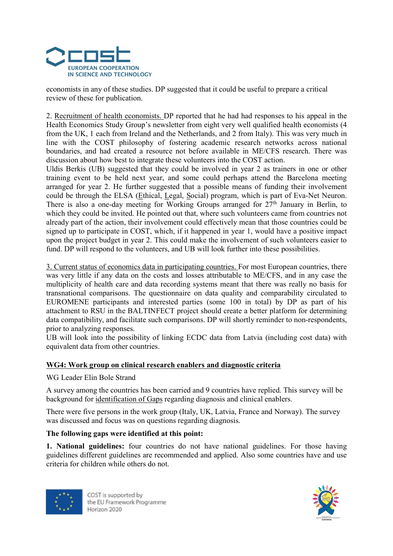

economists in any of these studies. DP suggested that it could be useful to prepare a critical review of these for publication.

2. Recruitment of health economists. DP reported that he had had responses to his appeal in the Health Economics Study Group's newsletter from eight very well qualified health economists (4 from the UK, 1 each from Ireland and the Netherlands, and 2 from Italy). This was very much in line with the COST philosophy of fostering academic research networks across national boundaries, and had created a resource not before available in ME/CFS research. There was discussion about how best to integrate these volunteers into the COST action.

Uldis Berkis (UB) suggested that they could be involved in year 2 as trainers in one or other training event to be held next year, and some could perhaps attend the Barcelona meeting arranged for year 2. He further suggested that a possible means of funding their involvement could be through the ELSA (Ethical, Legal, Social) program, which is part of Eva-Net Neuron. There is also a one-day meeting for Working Groups arranged for  $27<sup>th</sup>$  January in Berlin, to which they could be invited. He pointed out that, where such volunteers came from countries not already part of the action, their involvement could effectively mean that those countries could be signed up to participate in COST, which, if it happened in year 1, would have a positive impact upon the project budget in year 2. This could make the involvement of such volunteers easier to fund. DP will respond to the volunteers, and UB will look further into these possibilities.

3. Current status of economics data in participating countries. For most European countries, there was very little if any data on the costs and losses attributable to ME/CFS, and in any case the multiplicity of health care and data recording systems meant that there was really no basis for transnational comparisons. The questionnaire on data quality and comparability circulated to EUROMENE participants and interested parties (some 100 in total) by DP as part of his attachment to RSU in the BALTINFECT project should create a better platform for determining data compatibility, and facilitate such comparisons. DP will shortly reminder to non-respondents, prior to analyzing responses.

UB will look into the possibility of linking ECDC data from Latvia (including cost data) with equivalent data from other countries.

#### WG4: Work group on clinical research enablers and diagnostic criteria

WG Leader Elin Bole Strand

A survey among the countries has been carried and 9 countries have replied. This survey will be background for identification of Gaps regarding diagnosis and clinical enablers.

There were five persons in the work group (Italy, UK, Latvia, France and Norway). The survey was discussed and focus was on questions regarding diagnosis.

#### The following gaps were identified at this point:

1. National guidelines: four countries do not have national guidelines. For those having guidelines different guidelines are recommended and applied. Also some countries have and use criteria for children while others do not.



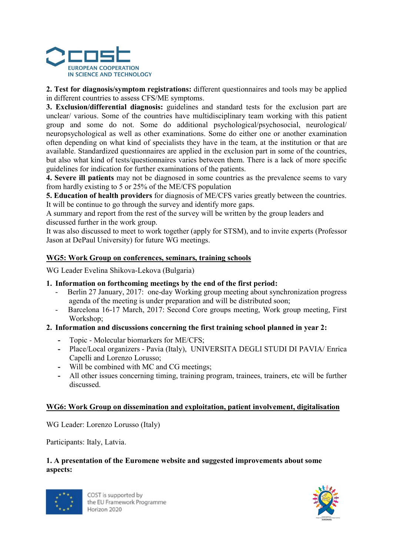

2. Test for diagnosis/symptom registrations: different questionnaires and tools may be applied in different countries to assess CFS/ME symptoms.

3. Exclusion/differential diagnosis: guidelines and standard tests for the exclusion part are unclear/ various. Some of the countries have multidisciplinary team working with this patient group and some do not. Some do additional psychological/psychosocial, neurological/ neuropsychological as well as other examinations. Some do either one or another examination often depending on what kind of specialists they have in the team, at the institution or that are available. Standardized questionnaires are applied in the exclusion part in some of the countries, but also what kind of tests/questionnaires varies between them. There is a lack of more specific guidelines for indication for further examinations of the patients.

4. Severe ill patients may not be diagnosed in some countries as the prevalence seems to vary from hardly existing to 5 or 25% of the ME/CFS population

5. Education of health providers for diagnosis of ME/CFS varies greatly between the countries. It will be continue to go through the survey and identify more gaps.

A summary and report from the rest of the survey will be written by the group leaders and discussed further in the work group.

It was also discussed to meet to work together (apply for STSM), and to invite experts (Professor Jason at DePaul University) for future WG meetings.

## WG5: Work Group on conferences, seminars, training schools

WG Leader Evelina Shikova-Lekova (Bulgaria)

# 1. Information on forthcoming meetings by the end of the first period:

- Berlin 27 January, 2017: one-day Working group meeting about synchronization progress agenda of the meeting is under preparation and will be distributed soon;
- Barcelona 16-17 March, 2017: Second Core groups meeting, Work group meeting, First Workshop;
- 2. Information and discussions concerning the first training school planned in year 2:
	- Topic Molecular biomarkers for ME/CFS;
	- Place/Local organizers Pavia (Italy), UNIVERSITA DEGLI STUDI DI PAVIA/ Enrica Capelli and Lorenzo Lorusso;
	- Will be combined with MC and CG meetings;
	- All other issues concerning timing, training program, trainees, trainers, etc will be further discussed.

#### WG6: Work Group on dissemination and exploitation, patient involvement, digitalisation

WG Leader: Lorenzo Lorusso (Italy)

Participants: Italy, Latvia.

## 1. A presentation of the Euromene website and suggested improvements about some aspects: